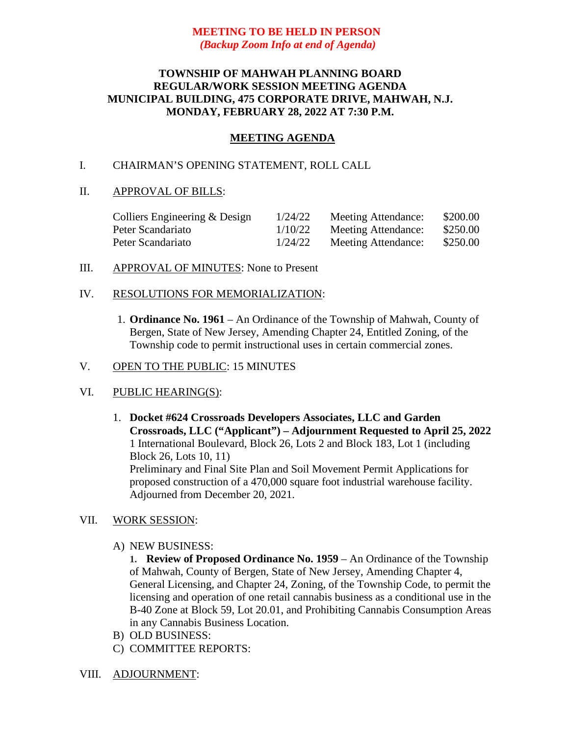# **MEETING TO BE HELD IN PERSON** *(Backup Zoom Info at end of Agenda)*

# **TOWNSHIP OF MAHWAH PLANNING BOARD REGULAR/WORK SESSION MEETING AGENDA MUNICIPAL BUILDING, 475 CORPORATE DRIVE, MAHWAH, N.J. MONDAY, FEBRUARY 28, 2022 AT 7:30 P.M.**

# **MEETING AGENDA**

## I. CHAIRMAN'S OPENING STATEMENT, ROLL CALL

### II. APPROVAL OF BILLS:

| Colliers Engineering & Design | 1/24/22 | Meeting Attendance: | \$200.00 |
|-------------------------------|---------|---------------------|----------|
| Peter Scandariato             | 1/10/22 | Meeting Attendance: | \$250.00 |
| Peter Scandariato             | 1/24/22 | Meeting Attendance: | \$250.00 |

III. APPROVAL OF MINUTES: None to Present

### IV. RESOLUTIONS FOR MEMORIALIZATION:

1. **Ordinance No. 1961** – An Ordinance of the Township of Mahwah, County of Bergen, State of New Jersey, Amending Chapter 24, Entitled Zoning, of the Township code to permit instructional uses in certain commercial zones.

### V. OPEN TO THE PUBLIC: 15 MINUTES

### VI. PUBLIC HEARING(S):

1. **Docket #624 Crossroads Developers Associates, LLC and Garden Crossroads, LLC ("Applicant") – Adjournment Requested to April 25, 2022** 1 International Boulevard, Block 26, Lots 2 and Block 183, Lot 1 (including Block 26, Lots 10, 11) Preliminary and Final Site Plan and Soil Movement Permit Applications for proposed construction of a 470,000 square foot industrial warehouse facility. Adjourned from December 20, 2021.

#### VII. WORK SESSION:

A) NEW BUSINESS:

**1. Review of Proposed Ordinance No. 1959** – An Ordinance of the Township of Mahwah, County of Bergen, State of New Jersey, Amending Chapter 4, General Licensing, and Chapter 24, Zoning, of the Township Code, to permit the licensing and operation of one retail cannabis business as a conditional use in the B-40 Zone at Block 59, Lot 20.01, and Prohibiting Cannabis Consumption Areas in any Cannabis Business Location.

- B) OLD BUSINESS:
- C) COMMITTEE REPORTS:

#### VIII. ADJOURNMENT: